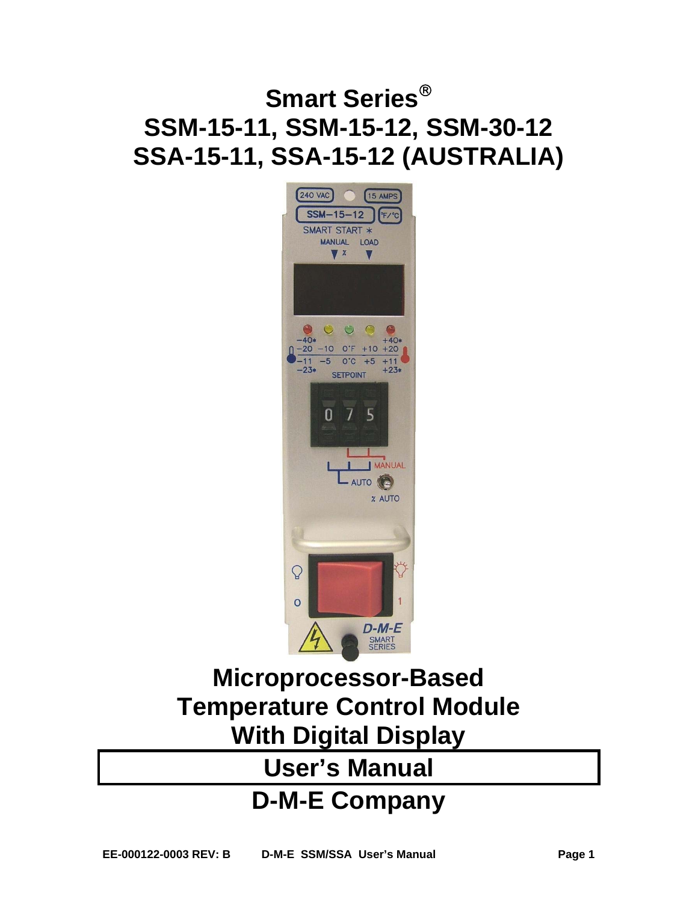# **Smart Series SSM-15-11, SSM-15-12, SSM-30-12 SSA-15-11, SSA-15-12 (AUSTRALIA)**



# **Microprocessor-Based Temperature Control Module With Digital Display**

# **User's Manual**

# **D-M-E Company**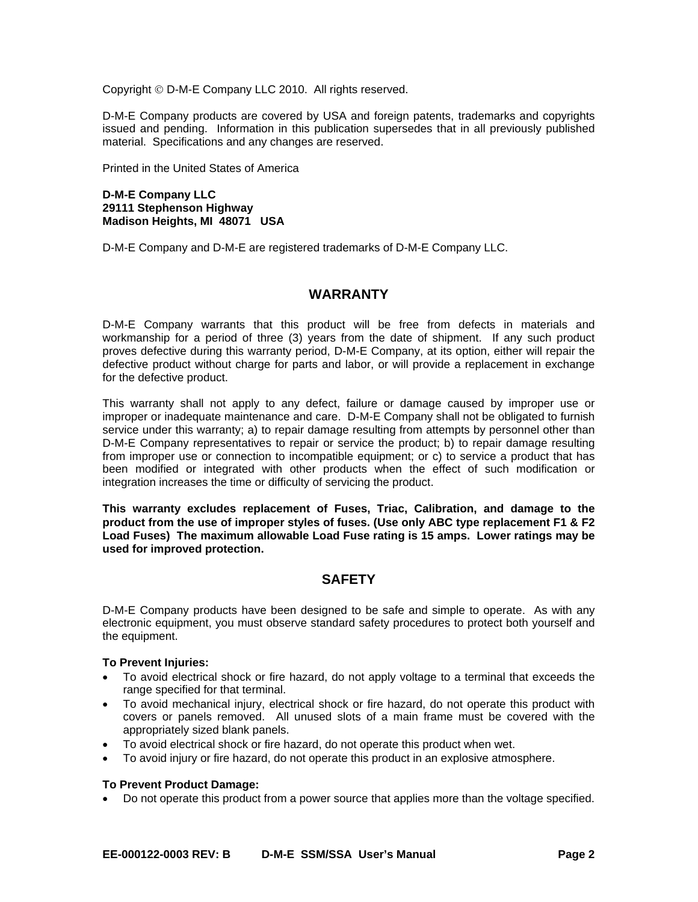Copyright © D-M-E Company LLC 2010. All rights reserved.

D-M-E Company products are covered by USA and foreign patents, trademarks and copyrights issued and pending. Information in this publication supersedes that in all previously published material. Specifications and any changes are reserved.

Printed in the United States of America

# **D-M-E Company LLC 29111 Stephenson Highway Madison Heights, MI 48071 USA**

D-M-E Company and D-M-E are registered trademarks of D-M-E Company LLC.

# **WARRANTY**

D-M-E Company warrants that this product will be free from defects in materials and workmanship for a period of three (3) years from the date of shipment. If any such product proves defective during this warranty period, D-M-E Company, at its option, either will repair the defective product without charge for parts and labor, or will provide a replacement in exchange for the defective product.

This warranty shall not apply to any defect, failure or damage caused by improper use or improper or inadequate maintenance and care. D-M-E Company shall not be obligated to furnish service under this warranty; a) to repair damage resulting from attempts by personnel other than D-M-E Company representatives to repair or service the product; b) to repair damage resulting from improper use or connection to incompatible equipment; or c) to service a product that has been modified or integrated with other products when the effect of such modification or integration increases the time or difficulty of servicing the product.

**This warranty excludes replacement of Fuses, Triac, Calibration, and damage to the product from the use of improper styles of fuses. (Use only ABC type replacement F1 & F2 Load Fuses) The maximum allowable Load Fuse rating is 15 amps. Lower ratings may be used for improved protection.** 

# **SAFETY**

D-M-E Company products have been designed to be safe and simple to operate. As with any electronic equipment, you must observe standard safety procedures to protect both yourself and the equipment.

# **To Prevent Injuries:**

- To avoid electrical shock or fire hazard, do not apply voltage to a terminal that exceeds the range specified for that terminal.
- To avoid mechanical injury, electrical shock or fire hazard, do not operate this product with covers or panels removed. All unused slots of a main frame must be covered with the appropriately sized blank panels.
- To avoid electrical shock or fire hazard, do not operate this product when wet.
- To avoid injury or fire hazard, do not operate this product in an explosive atmosphere.

# **To Prevent Product Damage:**

Do not operate this product from a power source that applies more than the voltage specified.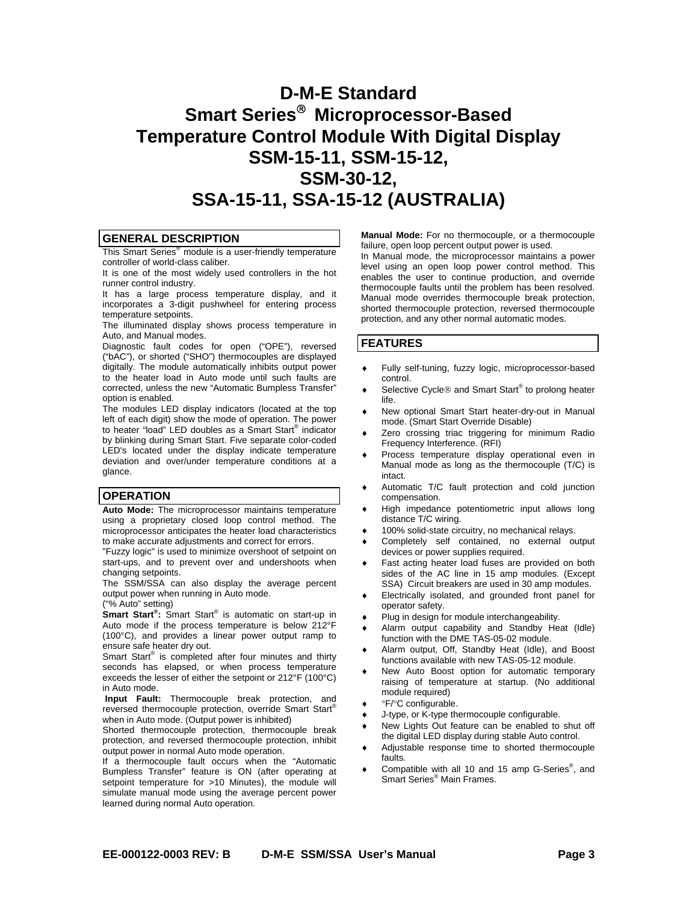# **D-M-E Standard Smart Series Microprocessor-Based Temperature Control Module With Digital Display SSM-15-11, SSM-15-12, SSM-30-12, SSA-15-11, SSA-15-12 (AUSTRALIA)**

#### **GENERAL DESCRIPTION**

This Smart Series® module is a user-friendly temperature controller of world-class caliber.

It is one of the most widely used controllers in the hot runner control industry.

It has a large process temperature display, and it incorporates a 3-digit pushwheel for entering process temperature setpoints.

The illuminated display shows process temperature in Auto, and Manual modes.

Diagnostic fault codes for open ("OPE"), reversed ("bAC"), or shorted ("SHO") thermocouples are displayed digitally. The module automatically inhibits output power to the heater load in Auto mode until such faults are corrected, unless the new "Automatic Bumpless Transfer" option is enabled.

The modules LED display indicators (located at the top left of each digit) show the mode of operation. The power to heater "load" LED doubles as a Smart Start® indicator by blinking during Smart Start. Five separate color-coded LED's located under the display indicate temperature deviation and over/under temperature conditions at a glance.

# **OPERATION**

**Auto Mode:** The microprocessor maintains temperature using a proprietary closed loop control method. The microprocessor anticipates the heater load characteristics to make accurate adjustments and correct for errors.

"Fuzzy logic" is used to minimize overshoot of setpoint on start-ups, and to prevent over and undershoots when changing setpoints.

The SSM/SSA can also display the average percent output power when running in Auto mode.

("% Auto" setting)

**Smart Start® :** Smart Start® is automatic on start-up in Auto mode if the process temperature is below 212°F (100°C), and provides a linear power output ramp to ensure safe heater dry out.

Smart Start<sup>®</sup> is completed after four minutes and thirty seconds has elapsed, or when process temperature exceeds the lesser of either the setpoint or 212°F (100°C) in Auto mode.

Input Fault: Thermocouple break protection, and reversed thermocouple protection, override Smart Start® when in Auto mode. (Output power is inhibited)

Shorted thermocouple protection, thermocouple break protection, and reversed thermocouple protection, inhibit output power in normal Auto mode operation.

If a thermocouple fault occurs when the "Automatic Bumpless Transfer" feature is ON (after operating at setpoint temperature for >10 Minutes), the module will simulate manual mode using the average percent power learned during normal Auto operation.

**Manual Mode:** For no thermocouple, or a thermocouple failure, open loop percent output power is used.

In Manual mode, the microprocessor maintains a power level using an open loop power control method. This enables the user to continue production, and override thermocouple faults until the problem has been resolved. Manual mode overrides thermocouple break protection, shorted thermocouple protection, reversed thermocouple protection, and any other normal automatic modes.

#### **FEATURES**

- Fully self-tuning, fuzzy logic, microprocessor-based control.
- ◆ Selective Cycle<sup>®</sup> and Smart Start<sup>®</sup> to prolong heater life.
- New optional Smart Start heater-dry-out in Manual mode. (Smart Start Override Disable)
- Zero crossing triac triggering for minimum Radio Frequency Interference. (RFI)
- Process temperature display operational even in Manual mode as long as the thermocouple (T/C) is intact.
- Automatic T/C fault protection and cold junction compensation.
- $\bullet$  High impedance potentiometric input allows long distance T/C wiring.
- ◆ 100% solid-state circuitry, no mechanical relays.
- Completely self contained, no external output devices or power supplies required.
- **Fast acting heater load fuses are provided on both** sides of the AC line in 15 amp modules. (Except SSA) Circuit breakers are used in 30 amp modules.
- Electrically isolated, and grounded front panel for operator safety.
- Plug in design for module interchangeability.
- Alarm output capability and Standby Heat (Idle) function with the DME TAS-05-02 module.
- Alarm output, Off, Standby Heat (Idle), and Boost functions available with new TAS-05-12 module.
- New Auto Boost option for automatic temporary raising of temperature at startup. (No additional module required)
- °F/°C configurable.
- J-type, or K-type thermocouple configurable.
- New Lights Out feature can be enabled to shut off the digital LED display during stable Auto control.
- Adjustable response time to shorted thermocouple faults.
- ◆ Compatible with all 10 and 15 amp G-Series<sup>®</sup>, and Smart Series® Main Frames.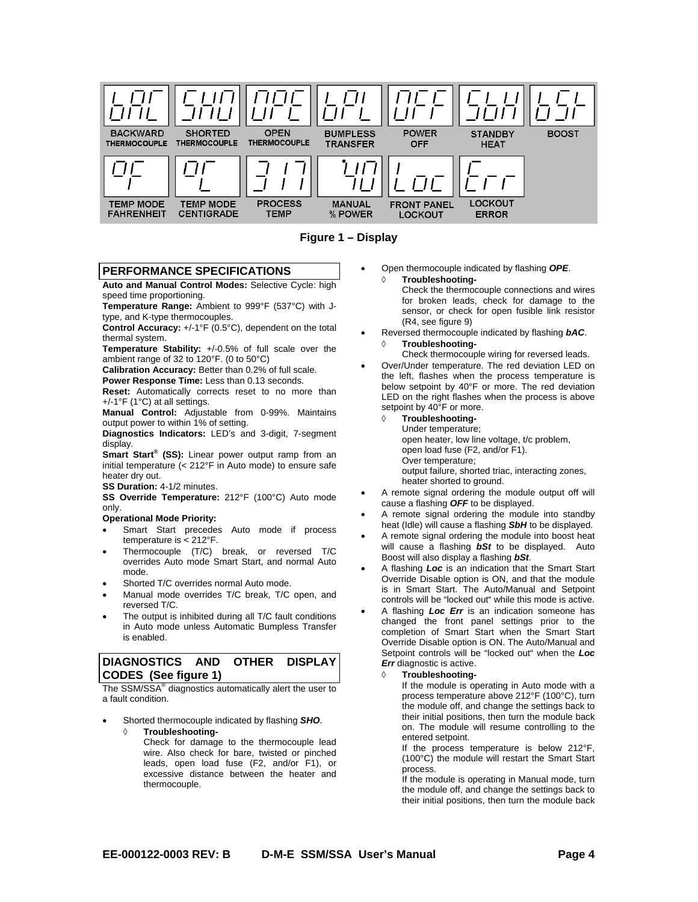

**Figure 1 – Display** 

#### **PERFORMANCE SPECIFICATIONS**

**Auto and Manual Control Modes:** Selective Cycle: high speed time proportioning.

**Temperature Range:** Ambient to 999°F (537°C) with Jtype, and K-type thermocouples.

**Control Accuracy:** +/-1°F (0.5°C), dependent on the total thermal system.

**Temperature Stability:** +/-0.5% of full scale over the ambient range of 32 to 120°F. (0 to 50°C)

**Calibration Accuracy:** Better than 0.2% of full scale.

**Power Response Time:** Less than 0.13 seconds.

**Reset:** Automatically corrects reset to no more than +/-1°F (1°C) at all settings.

**Manual Control:** Adjustable from 0-99%. Maintains output power to within 1% of setting.

**Diagnostics Indicators:** LED's and 3-digit, 7-segment display.

**Smart Start® (SS):** Linear power output ramp from an initial temperature (< 212°F in Auto mode) to ensure safe heater dry out.

**SS Duration:** 4-1/2 minutes.

**SS Override Temperature:** 212°F (100°C) Auto mode only.

### **Operational Mode Priority:**

- Smart Start precedes Auto mode if process temperature is < 212°F.
- Thermocouple (T/C) break, or reversed T/C overrides Auto mode Smart Start, and normal Auto mode.
- Shorted T/C overrides normal Auto mode.
- Manual mode overrides T/C break, T/C open, and reversed T/C.
- The output is inhibited during all T/C fault conditions in Auto mode unless Automatic Bumpless Transfer is enabled.

# **DIAGNOSTICS AND OTHER DISPLAY CODES (See figure 1)**

The SSM/SSA® diagnostics automatically alert the user to a fault condition.

- Shorted thermocouple indicated by flashing *SHO*.
	- **Troubleshooting-**Check for damage to the thermocouple lead wire. Also check for bare, twisted or pinched leads, open load fuse (F2, and/or F1), or excessive distance between the heater and thermocouple.

 Open thermocouple indicated by flashing *OPE*. **Troubleshooting-**

> Check the thermocouple connections and wires for broken leads, check for damage to the sensor, or check for open fusible link resistor (R4, see figure 9)

- Reversed thermocouple indicated by flashing *bAC*.
	- **Troubleshooting-**Check thermocouple wiring for reversed leads.
- Over/Under temperature. The red deviation LED on the left, flashes when the process temperature is below setpoint by 40°F or more. The red deviation LED on the right flashes when the process is above setpoint by 40°F or more.
	- **Troubleshooting-**
		- Under temperature; open heater, low line voltage, t/c problem, open load fuse (F2, and/or F1). Over temperature;

output failure, shorted triac, interacting zones, heater shorted to ground.

- A remote signal ordering the module output off will cause a flashing *OFF* to be displayed.
- A remote signal ordering the module into standby heat (Idle) will cause a flashing *SbH* to be displayed.
- A remote signal ordering the module into boost heat will cause a flashing *bSt* to be displayed. Auto Boost will also display a flashing *bSt*.
- A flashing *Loc* is an indication that the Smart Start Override Disable option is ON, and that the module is in Smart Start. The Auto/Manual and Setpoint controls will be "locked out" while this mode is active.
- A flashing *Loc Err* is an indication someone has changed the front panel settings prior to the completion of Smart Start when the Smart Start Override Disable option is ON. The Auto/Manual and Setpoint controls will be "locked out" when the *Loc Err* diagnostic is active.

#### **Troubleshooting-**

If the module is operating in Auto mode with a process temperature above 212°F (100°C), turn the module off, and change the settings back to their initial positions, then turn the module back on. The module will resume controlling to the entered setpoint.

If the process temperature is below 212°F, (100°C) the module will restart the Smart Start process.

If the module is operating in Manual mode, turn the module off, and change the settings back to their initial positions, then turn the module back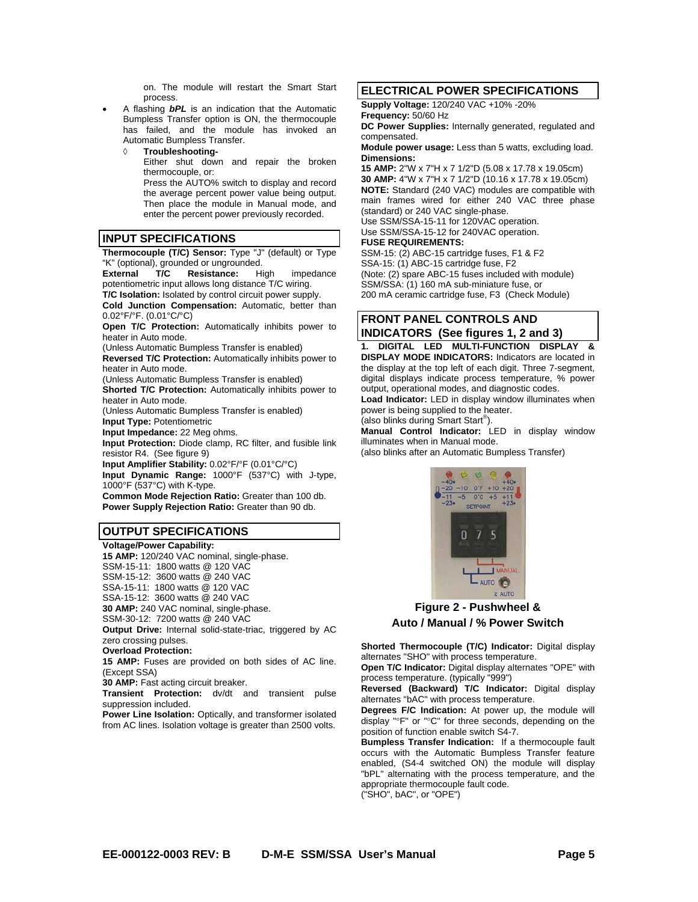on. The module will restart the Smart Start process.

- A flashing *bPL* is an indication that the Automatic Bumpless Transfer option is ON, the thermocouple has failed, and the module has invoked an Automatic Bumpless Transfer.
	- **Troubleshooting-**Either shut down and repair the broken thermocouple, or: Press the AUTO% switch to display and record

the average percent power value being output. Then place the module in Manual mode, and enter the percent power previously recorded.

#### **INPUT SPECIFICATIONS**

**Thermocouple (T/C) Sensor:** Type "J" (default) or Type "K" (optional), grounded or ungrounded.

**External T/C Resistance:** High impedance potentiometric input allows long distance T/C wiring. **T/C Isolation:** Isolated by control circuit power supply.

**Cold Junction Compensation:** Automatic, better than 0.02°F/°F. (0.01°C/°C)

**Open T/C Protection:** Automatically inhibits power to heater in Auto mode.

(Unless Automatic Bumpless Transfer is enabled)

**Reversed T/C Protection:** Automatically inhibits power to heater in Auto mode.

(Unless Automatic Bumpless Transfer is enabled) **Shorted T/C Protection:** Automatically inhibits power to

heater in Auto mode. (Unless Automatic Bumpless Transfer is enabled)

**Input Type:** Potentiometric **Input Impedance:** 22 Meg ohms.

**Input Protection:** Diode clamp, RC filter, and fusible link resistor R4. (See figure 9)

**Input Amplifier Stability:** 0.02°F/°F (0.01°C/°C)

**Input Dynamic Range:** 1000°F (537°C) with J-type, 1000°F (537°C) with K-type.

**Common Mode Rejection Ratio:** Greater than 100 db. **Power Supply Rejection Ratio:** Greater than 90 db.

# **OUTPUT SPECIFICATIONS**

**Voltage/Power Capability: 15 AMP:** 120/240 VAC nominal, single-phase. SSM-15-11: 1800 watts @ 120 VAC SSM-15-12: 3600 watts @ 240 VAC SSA-15-11: 1800 watts @ 120 VAC SSA-15-12: 3600 watts @ 240 VAC **30 AMP:** 240 VAC nominal, single-phase. SSM-30-12: 7200 watts @ 240 VAC **Output Drive:** Internal solid-state-triac, triggered by AC

zero crossing pulses.

**Overload Protection:**

**15 AMP:** Fuses are provided on both sides of AC line. (Except SSA)

**30 AMP:** Fast acting circuit breaker.

**Transient Protection:** dv/dt and transient pulse suppression included.

**Power Line Isolation:** Optically, and transformer isolated from AC lines. Isolation voltage is greater than 2500 volts.

# **ELECTRICAL POWER SPECIFICATIONS**

**Supply Voltage:** 120/240 VAC +10% -20%

**Frequency:** 50/60 Hz

**DC Power Supplies:** Internally generated, regulated and compensated.

**Module power usage:** Less than 5 watts, excluding load. **Dimensions:**

**15 AMP:** 2"W x 7"H x 7 1/2"D (5.08 x 17.78 x 19.05cm) **30 AMP:** 4"W x 7"H x 7 1/2"D (10.16 x 17.78 x 19.05cm) **NOTE:** Standard (240 VAC) modules are compatible with main frames wired for either 240 VAC three phase (standard) or 240 VAC single-phase.

Use SSM/SSA-15-11 for 120VAC operation. Use SSM/SSA-15-12 for 240VAC operation.

#### **FUSE REQUIREMENTS:**

SSM-15: (2) ABC-15 cartridge fuses, F1 & F2 SSA-15: (1) ABC-15 cartridge fuse, F2 (Note: (2) spare ABC-15 fuses included with module) SSM/SSA: (1) 160 mA sub-miniature fuse, or 200 mA ceramic cartridge fuse, F3 (Check Module)

#### **FRONT PANEL CONTROLS AND INDICATORS (See figures 1, 2 and 3)**

**1. DIGITAL LED MULTI-FUNCTION DISPLAY & DISPLAY MODE INDICATORS:** Indicators are located in the display at the top left of each digit. Three 7-segment, digital displays indicate process temperature, % power output, operational modes, and diagnostic codes. **Load Indicator:** LED in display window illuminates when

power is being supplied to the heater. (also blinks during Smart Start® ).

**Manual Control Indicator:** LED in display window

illuminates when in Manual mode. (also blinks after an Automatic Bumpless Transfer)



# **Figure 2 - Pushwheel & Auto / Manual / % Power Switch**

**Shorted Thermocouple (T/C) Indicator:** Digital display alternates "SHO" with process temperature.

**Open T/C Indicator:** Digital display alternates "OPE" with process temperature. (typically "999")

**Reversed (Backward) T/C Indicator:** Digital display alternates "bAC" with process temperature.

**Degrees F/C Indication:** At power up, the module will display "F" or "C" for three seconds, depending on the position of function enable switch S4-7.

**Bumpless Transfer Indication:** If a thermocouple fault occurs with the Automatic Bumpless Transfer feature enabled, (S4-4 switched ON) the module will display "bPL" alternating with the process temperature, and the appropriate thermocouple fault code.

("SHO", bAC", or "OPE")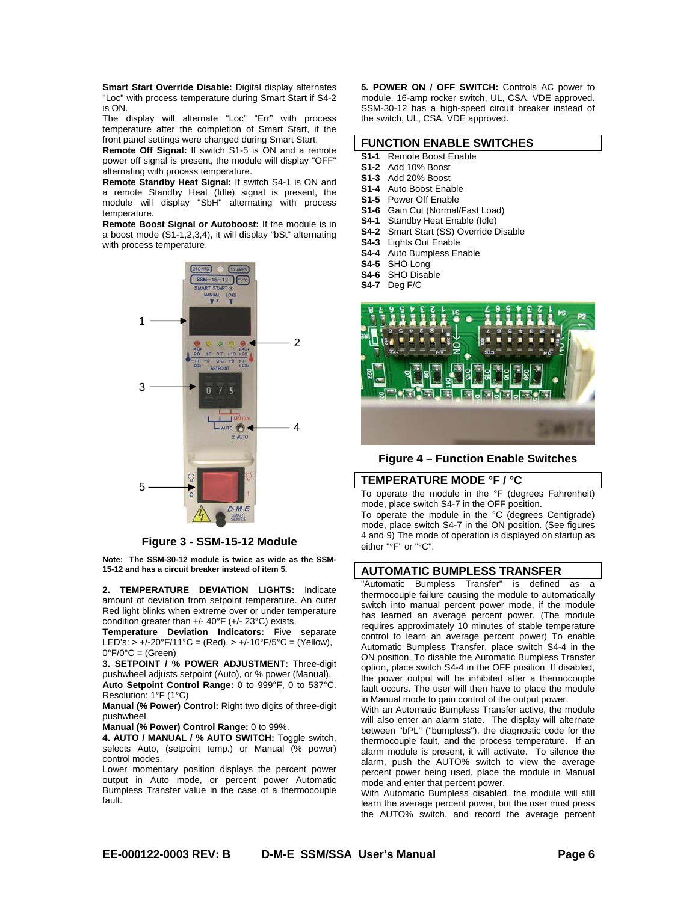**Smart Start Override Disable:** Digital display alternates "Loc" with process temperature during Smart Start if S4-2 is ON.

The display will alternate "Loc" "Err" with process temperature after the completion of Smart Start, if the front panel settings were changed during Smart Start.

**Remote Off Signal:** If switch S1-5 is ON and a remote power off signal is present, the module will display "OFF" alternating with process temperature.

**Remote Standby Heat Signal:** If switch S4-1 is ON and a remote Standby Heat (Idle) signal is present, the module will display "SbH" alternating with process temperature.

**Remote Boost Signal or Autoboost:** If the module is in a boost mode (S1-1,2,3,4), it will display "bSt" alternating with process temperature.



#### **Figure 3 - SSM-15-12 Module**

**Note: The SSM-30-12 module is twice as wide as the SSM-15-12 and has a circuit breaker instead of item 5.** 

**2. TEMPERATURE DEVIATION LIGHTS:** Indicate amount of deviation from setpoint temperature. An outer Red light blinks when extreme over or under temperature condition greater than +/- 40°F (+/- 23°C) exists.

**Temperature Deviation Indicators:** Five separate LED's:  $> +/-20^{\circ}F/11^{\circ}C = (Red), > +/-10^{\circ}F/5^{\circ}C = (Yellow),$  $0^{\circ}F/0^{\circ}C =$  (Green)

**3. SETPOINT / % POWER ADJUSTMENT:** Three-digit pushwheel adjusts setpoint (Auto), or % power (Manual). **Auto Setpoint Control Range:** 0 to 999°F, 0 to 537°C. Resolution: 1°F (1°C)

**Manual (% Power) Control:** Right two digits of three-digit pushwheel.

**Manual (% Power) Control Range:** 0 to 99%.

**4. AUTO / MANUAL / % AUTO SWITCH:** Toggle switch, selects Auto, (setpoint temp.) or Manual (% power) control modes.

Lower momentary position displays the percent power output in Auto mode, or percent power Automatic Bumpless Transfer value in the case of a thermocouple fault.

**5. POWER ON / OFF SWITCH:** Controls AC power to module. 16-amp rocker switch, UL, CSA, VDE approved. SSM-30-12 has a high-speed circuit breaker instead of the switch, UL, CSA, VDE approved.

#### **FUNCTION ENABLE SWITCHES**

- **S1-1** Remote Boost Enable
- **S1-2** Add 10% Boost
- **S1-3** Add 20% Boost
- **S1-4** Auto Boost Enable
- **S1-5** Power Off Enable
- **S1-6** Gain Cut (Normal/Fast Load)
- **S4-1** Standby Heat Enable (Idle)
- **S4-2** Smart Start (SS) Override Disable
- **S4-3** Lights Out Enable
- **S4-4** Auto Bumpless Enable
- **S4-5** SHO Long
- **S4-6** SHO Disable
- **S4-7** Deg F/C



**Figure 4 – Function Enable Switches**

#### **TEMPERATURE MODE °F / °C**

To operate the module in the °F (degrees Fahrenheit) mode, place switch S4-7 in the OFF position.

To operate the module in the °C (degrees Centigrade) mode, place switch S4-7 in the ON position. (See figures 4 and 9) The mode of operation is displayed on startup as either "°F" or "°C".

#### **AUTOMATIC BUMPLESS TRANSFER**

"Automatic Bumpless Transfer" is defined as a thermocouple failure causing the module to automatically switch into manual percent power mode, if the module has learned an average percent power. (The module requires approximately 10 minutes of stable temperature control to learn an average percent power) To enable Automatic Bumpless Transfer, place switch S4-4 in the ON position. To disable the Automatic Bumpless Transfer option, place switch S4-4 in the OFF position. If disabled, the power output will be inhibited after a thermocouple fault occurs. The user will then have to place the module in Manual mode to gain control of the output power.

With an Automatic Bumpless Transfer active, the module will also enter an alarm state. The display will alternate between "bPL" ("bumpless"), the diagnostic code for the thermocouple fault, and the process temperature. If an alarm module is present, it will activate. To silence the alarm, push the AUTO% switch to view the average percent power being used, place the module in Manual mode and enter that percent power.

With Automatic Bumpless disabled, the module will still learn the average percent power, but the user must press the AUTO% switch, and record the average percent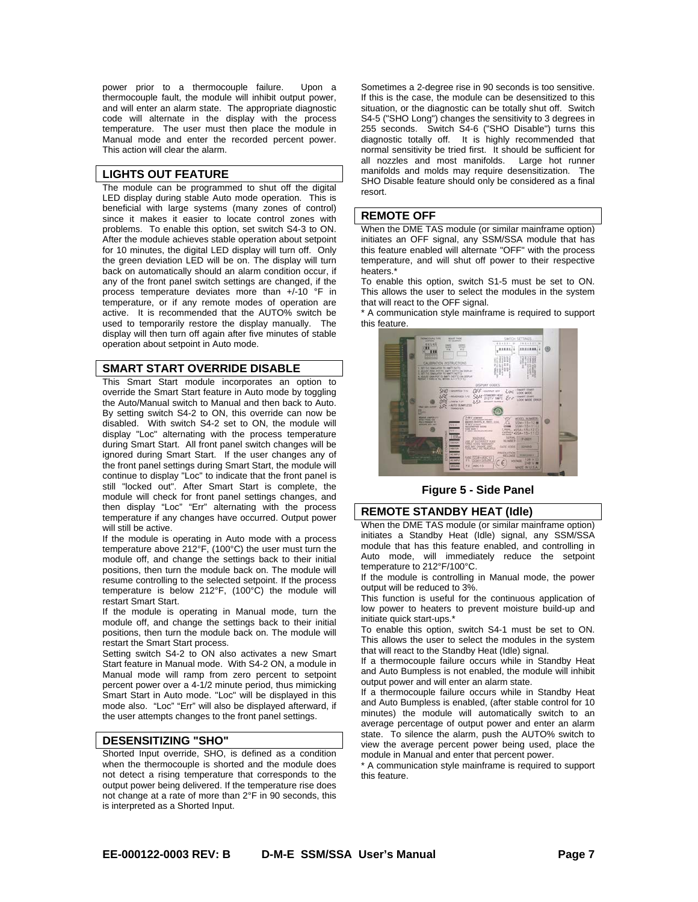power prior to a thermocouple failure. Upon a thermocouple fault, the module will inhibit output power, and will enter an alarm state. The appropriate diagnostic code will alternate in the display with the process temperature. The user must then place the module in Manual mode and enter the recorded percent power. This action will clear the alarm.

#### **LIGHTS OUT FEATURE**

The module can be programmed to shut off the digital LED display during stable Auto mode operation. This is beneficial with large systems (many zones of control) since it makes it easier to locate control zones with problems. To enable this option, set switch S4-3 to ON. After the module achieves stable operation about setpoint for 10 minutes, the digital LED display will turn off. Only the green deviation LED will be on. The display will turn back on automatically should an alarm condition occur, if any of the front panel switch settings are changed, if the process temperature deviates more than +/-10 °F in temperature, or if any remote modes of operation are active. It is recommended that the AUTO% switch be used to temporarily restore the display manually. The display will then turn off again after five minutes of stable operation about setpoint in Auto mode.

#### **SMART START OVERRIDE DISABLE**

This Smart Start module incorporates an option to override the Smart Start feature in Auto mode by toggling the Auto/Manual switch to Manual and then back to Auto. By setting switch S4-2 to ON, this override can now be disabled. With switch S4-2 set to ON, the module will display "Loc" alternating with the process temperature during Smart Start. All front panel switch changes will be ignored during Smart Start. If the user changes any of the front panel settings during Smart Start, the module will continue to display "Loc" to indicate that the front panel is still "locked out". After Smart Start is complete, the module will check for front panel settings changes, and then display "Loc" "Err" alternating with the process temperature if any changes have occurred. Output power will still be active.

If the module is operating in Auto mode with a process temperature above 212°F, (100°C) the user must turn the module off, and change the settings back to their initial positions, then turn the module back on. The module will resume controlling to the selected setpoint. If the process temperature is below 212°F, (100°C) the module will restart Smart Start.

If the module is operating in Manual mode, turn the module off, and change the settings back to their initial positions, then turn the module back on. The module will restart the Smart Start process.

Setting switch S4-2 to ON also activates a new Smart Start feature in Manual mode. With S4-2 ON, a module in Manual mode will ramp from zero percent to setpoint percent power over a 4-1/2 minute period, thus mimicking Smart Start in Auto mode. "Loc" will be displayed in this mode also. "Loc" "Err" will also be displayed afterward, if the user attempts changes to the front panel settings.

# **DESENSITIZING "SHO"**

Shorted Input override, SHO, is defined as a condition when the thermocouple is shorted and the module does not detect a rising temperature that corresponds to the output power being delivered. If the temperature rise does not change at a rate of more than 2°F in 90 seconds, this is interpreted as a Shorted Input.

Sometimes a 2-degree rise in 90 seconds is too sensitive. If this is the case, the module can be desensitized to this situation, or the diagnostic can be totally shut off. Switch S4-5 ("SHO Long") changes the sensitivity to 3 degrees in 255 seconds. Switch S4-6 ("SHO Disable") turns this diagnostic totally off. It is highly recommended that normal sensitivity be tried first. It should be sufficient for all nozzles and most manifolds. Large hot runner manifolds and molds may require desensitization. The SHO Disable feature should only be considered as a final resort.

#### **REMOTE OFF**

When the DME TAS module (or similar mainframe option) initiates an OFF signal, any SSM/SSA module that has this feature enabled will alternate "OFF" with the process temperature, and will shut off power to their respective heaters.\*

To enable this option, switch S1-5 must be set to ON. This allows the user to select the modules in the system that will react to the OFF signal.

\* A communication style mainframe is required to support this feature.



**Figure 5 - Side Panel**

#### **REMOTE STANDBY HEAT (Idle)**

When the DME TAS module (or similar mainframe option) initiates a Standby Heat (Idle) signal, any SSM/SSA module that has this feature enabled, and controlling in Auto mode, will immediately reduce the setpoint temperature to 212°F/100°C.

If the module is controlling in Manual mode, the power output will be reduced to 3%.

This function is useful for the continuous application of low power to heaters to prevent moisture build-up and initiate quick start-ups.\*

To enable this option, switch S4-1 must be set to ON. This allows the user to select the modules in the system that will react to the Standby Heat (Idle) signal.

If a thermocouple failure occurs while in Standby Heat and Auto Bumpless is not enabled, the module will inhibit output power and will enter an alarm state.

If a thermocouple failure occurs while in Standby Heat and Auto Bumpless is enabled, (after stable control for 10 minutes) the module will automatically switch to an average percentage of output power and enter an alarm state. To silence the alarm, push the AUTO% switch to view the average percent power being used, place the module in Manual and enter that percent power.

\* A communication style mainframe is required to support this feature.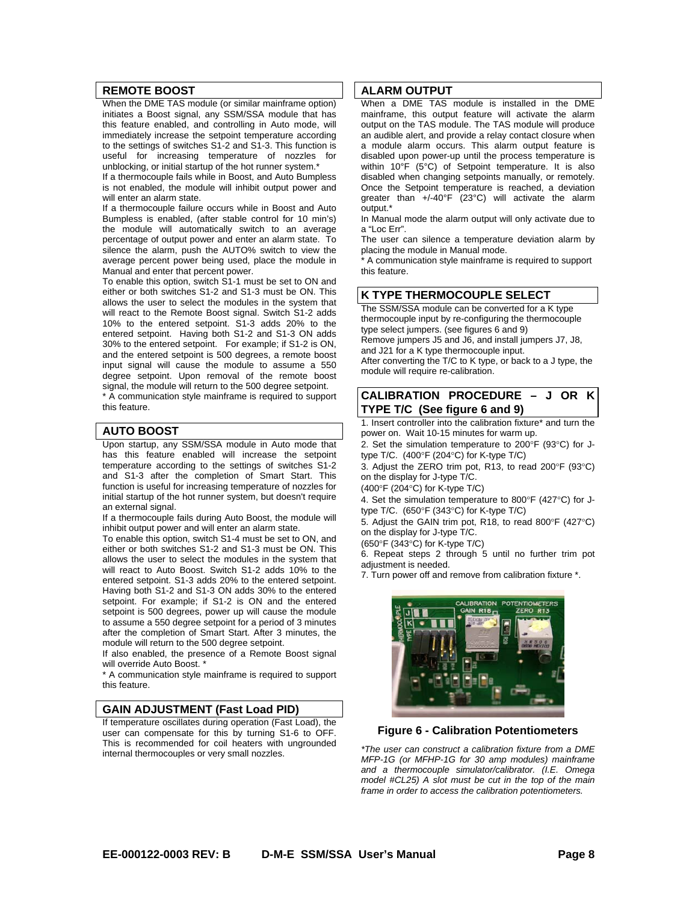# **REMOTE BOOST**

When the DME TAS module (or similar mainframe option) initiates a Boost signal, any SSM/SSA module that has this feature enabled, and controlling in Auto mode, will immediately increase the setpoint temperature according to the settings of switches S1-2 and S1-3. This function is useful for increasing temperature of nozzles for unblocking, or initial startup of the hot runner system.\*

If a thermocouple fails while in Boost, and Auto Bumpless is not enabled, the module will inhibit output power and will enter an alarm state.

If a thermocouple failure occurs while in Boost and Auto Bumpless is enabled, (after stable control for 10 min's) the module will automatically switch to an average percentage of output power and enter an alarm state. To silence the alarm, push the AUTO% switch to view the average percent power being used, place the module in Manual and enter that percent power.

To enable this option, switch S1-1 must be set to ON and either or both switches S1-2 and S1-3 must be ON. This allows the user to select the modules in the system that will react to the Remote Boost signal. Switch S1-2 adds 10% to the entered setpoint. S1-3 adds 20% to the entered setpoint. Having both S1-2 and S1-3 ON adds 30% to the entered setpoint. For example; if S1-2 is ON, and the entered setpoint is 500 degrees, a remote boost input signal will cause the module to assume a 550 degree setpoint. Upon removal of the remote boost signal, the module will return to the 500 degree setpoint. \* A communication style mainframe is required to support

this feature.

#### **AUTO BOOST**

Upon startup, any SSM/SSA module in Auto mode that has this feature enabled will increase the setpoint temperature according to the settings of switches S1-2 and S1-3 after the completion of Smart Start. This function is useful for increasing temperature of nozzles for initial startup of the hot runner system, but doesn't require an external signal.

If a thermocouple fails during Auto Boost, the module will inhibit output power and will enter an alarm state.

To enable this option, switch S1-4 must be set to ON, and either or both switches S1-2 and S1-3 must be ON. This allows the user to select the modules in the system that will react to Auto Boost. Switch S1-2 adds 10% to the entered setpoint. S1-3 adds 20% to the entered setpoint. Having both S1-2 and S1-3 ON adds 30% to the entered setpoint. For example; if S1-2 is ON and the entered setpoint is 500 degrees, power up will cause the module to assume a 550 degree setpoint for a period of 3 minutes after the completion of Smart Start. After 3 minutes, the module will return to the 500 degree setpoint.

If also enabled, the presence of a Remote Boost signal will override Auto Boost. \*

\* A communication style mainframe is required to support this feature.

#### **GAIN ADJUSTMENT (Fast Load PID)**

If temperature oscillates during operation (Fast Load), the user can compensate for this by turning S1-6 to OFF. This is recommended for coil heaters with ungrounded internal thermocouples or very small nozzles.

#### **ALARM OUTPUT**

When a DME TAS module is installed in the DME mainframe, this output feature will activate the alarm output on the TAS module. The TAS module will produce an audible alert, and provide a relay contact closure when a module alarm occurs. This alarm output feature is disabled upon power-up until the process temperature is within 10°F (5°C) of Setpoint temperature. It is also disabled when changing setpoints manually, or remotely. Once the Setpoint temperature is reached, a deviation greater than +/-40°F (23°C) will activate the alarm output.\*

In Manual mode the alarm output will only activate due to a "Loc Err".

The user can silence a temperature deviation alarm by placing the module in Manual mode.

\* A communication style mainframe is required to support this feature.

# **K TYPE THERMOCOUPLE SELECT**

The SSM/SSA module can be converted for a K type thermocouple input by re-configuring the thermocouple type select jumpers. (see figures 6 and 9) Remove jumpers J5 and J6, and install jumpers J7, J8, and J21 for a K type thermocouple input. After converting the T/C to K type, or back to a J type, the module will require re-calibration.

# **CALIBRATION PROCEDURE – J OR K TYPE T/C (See figure 6 and 9)**

1. Insert controller into the calibration fixture\* and turn the power on. Wait 10-15 minutes for warm up.

2. Set the simulation temperature to 200°F (93°C) for Jtype T/C.  $(400^{\circ}F (204^{\circ}C)$  for K-type T/C)

3. Adjust the ZERO trim pot, R13, to read 200 $\degree$ F (93 $\degree$ C) on the display for J-type T/C.

 $(400^{\circ}F (204^{\circ}C)$  for K-type T/C)

4. Set the simulation temperature to 800 $\degree$ F (427 $\degree$ C) for Jtype T/C.  $(650^{\circ}F (343^{\circ}C)$  for K-type T/C)

5. Adjust the GAIN trim pot, R18, to read 800 $\degree$ F (427 $\degree$ C) on the display for J-type T/C.

(650 $\degree$ F (343 $\degree$ C) for K-type T/C)

6. Repeat steps 2 through 5 until no further trim pot adjustment is needed.

7. Turn power off and remove from calibration fixture \*.



#### **Figure 6 - Calibration Potentiometers**

*\*The user can construct a calibration fixture from a DME MFP-1G (or MFHP-1G for 30 amp modules) mainframe and a thermocouple simulator/calibrator. (I.E. Omega model #CL25) A slot must be cut in the top of the main frame in order to access the calibration potentiometers.*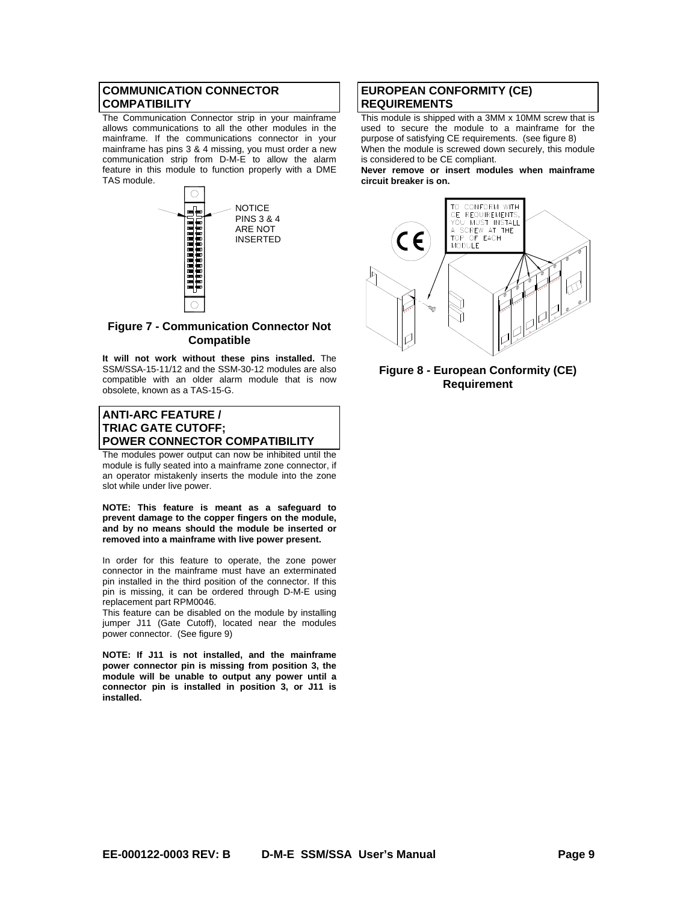# **COMMUNICATION CONNECTOR COMPATIBILITY**

The Communication Connector strip in your mainframe allows communications to all the other modules in the mainframe. If the communications connector in your mainframe has pins 3 & 4 missing, you must order a new communication strip from D-M-E to allow the alarm feature in this module to function properly with a DME TAS module.



# **Figure 7 - Communication Connector Not Compatible**

**It will not work without these pins installed.** The SSM/SSA-15-11/12 and the SSM-30-12 modules are also compatible with an older alarm module that is now obsolete, known as a TAS-15-G.

# **ANTI-ARC FEATURE / TRIAC GATE CUTOFF; POWER CONNECTOR COMPATIBILITY**

The modules power output can now be inhibited until the module is fully seated into a mainframe zone connector, if an operator mistakenly inserts the module into the zone slot while under live power.

**NOTE: This feature is meant as a safeguard to prevent damage to the copper fingers on the module, and by no means should the module be inserted or removed into a mainframe with live power present.** 

In order for this feature to operate, the zone power connector in the mainframe must have an exterminated pin installed in the third position of the connector. If this pin is missing, it can be ordered through D-M-E using replacement part RPM0046.

This feature can be disabled on the module by installing jumper J11 (Gate Cutoff), located near the modules power connector. (See figure 9)

**NOTE: If J11 is not installed, and the mainframe power connector pin is missing from position 3, the module will be unable to output any power until a connector pin is installed in position 3, or J11 is installed.** 

## **EUROPEAN CONFORMITY (CE) REQUIREMENTS**

This module is shipped with a 3MM x 10MM screw that is used to secure the module to a mainframe for the purpose of satisfying CE requirements. (see figure 8) When the module is screwed down securely, this module is considered to be CE compliant.

**Never remove or insert modules when mainframe circuit breaker is on.** 



#### **Figure 8 - European Conformity (CE) Requirement**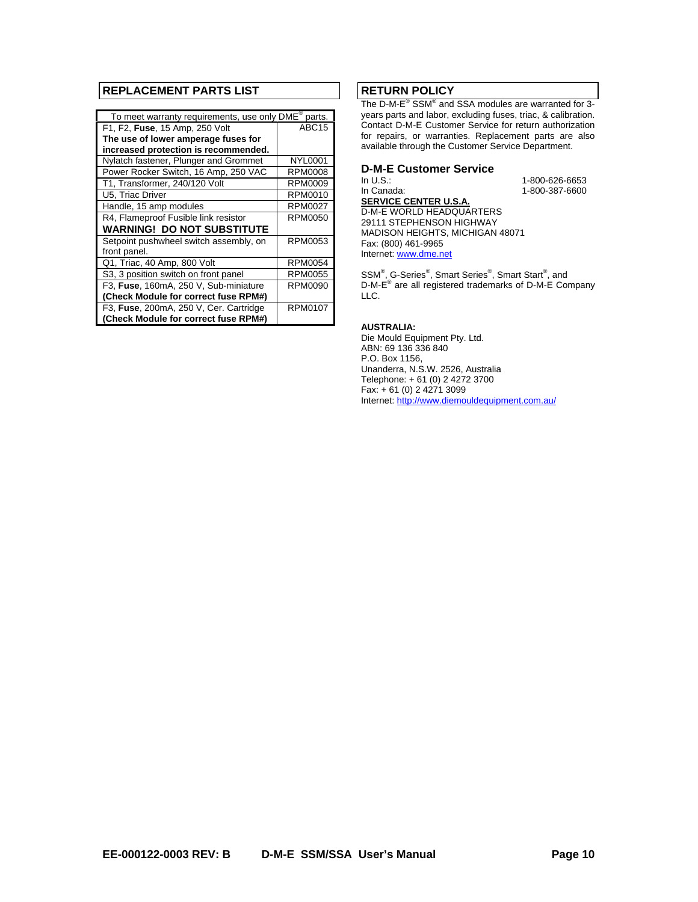# **REPLACEMENT PARTS LIST**

| To meet warranty requirements, use only DME®<br>parts. |                   |  |  |  |
|--------------------------------------------------------|-------------------|--|--|--|
| F1, F2, Fuse, 15 Amp, 250 Volt                         | ABC <sub>15</sub> |  |  |  |
| The use of lower amperage fuses for                    |                   |  |  |  |
| increased protection is recommended.                   |                   |  |  |  |
| Nylatch fastener, Plunger and Grommet                  | <b>NYL0001</b>    |  |  |  |
| Power Rocker Switch, 16 Amp, 250 VAC                   | RPM0008           |  |  |  |
| T1, Transformer, 240/120 Volt                          | RPM0009           |  |  |  |
| U5, Triac Driver                                       | RPM0010           |  |  |  |
| Handle, 15 amp modules                                 | <b>RPM0027</b>    |  |  |  |
| R4, Flameproof Fusible link resistor                   | <b>RPM0050</b>    |  |  |  |
| <b>WARNING! DO NOT SUBSTITUTE</b>                      |                   |  |  |  |
| Setpoint pushwheel switch assembly, on                 | RPM0053           |  |  |  |
| front panel.                                           |                   |  |  |  |
| Q1, Triac, 40 Amp, 800 Volt                            | RPM0054           |  |  |  |
| S3, 3 position switch on front panel                   | RPM0055           |  |  |  |
| F3, Fuse, 160mA, 250 V, Sub-miniature                  | RPM0090           |  |  |  |
| (Check Module for correct fuse RPM#)                   |                   |  |  |  |
| F3, Fuse, 200mA, 250 V, Cer. Cartridge                 | <b>RPM0107</b>    |  |  |  |
| (Check Module for correct fuse RPM#)                   |                   |  |  |  |

# **RETURN POLICY**

The D-M-E<sup>®</sup> SSM<sup>®</sup> and SSA modules are warranted for 3years parts and labor, excluding fuses, triac, & calibration. Contact D-M-E Customer Service for return authorization for repairs, or warranties. Replacement parts are also available through the Customer Service Department.

# **D-M-E Customer Service**

In U.S.: 1-800-626-6653 1-800-387-6600

**SERVICE CENTER U.S.A.**  D-M-E WORLD HEADQUARTERS 29111 STEPHENSON HIGHWAY MADISON HEIGHTS, MICHIGAN 48071 Fax: (800) 461-9965 Internet: www.dme.net

SSM<sup>®</sup>, G-Series<sup>®</sup>, Smart Series<sup>®</sup>, Smart Start<sup>®</sup>, and D-M-E<sup>®</sup> are all registered trademarks of D-M-E Company LLC.

#### **AUSTRALIA:**

Die Mould Equipment Pty. Ltd. ABN: 69 136 336 840 P.O. Box 1156, Unanderra, N.S.W. 2526, Australia Telephone: + 61 (0) 2 4272 3700 Fax: + 61 (0) 2 4271 3099 Internet: http://www.diemouldequipment.com.au/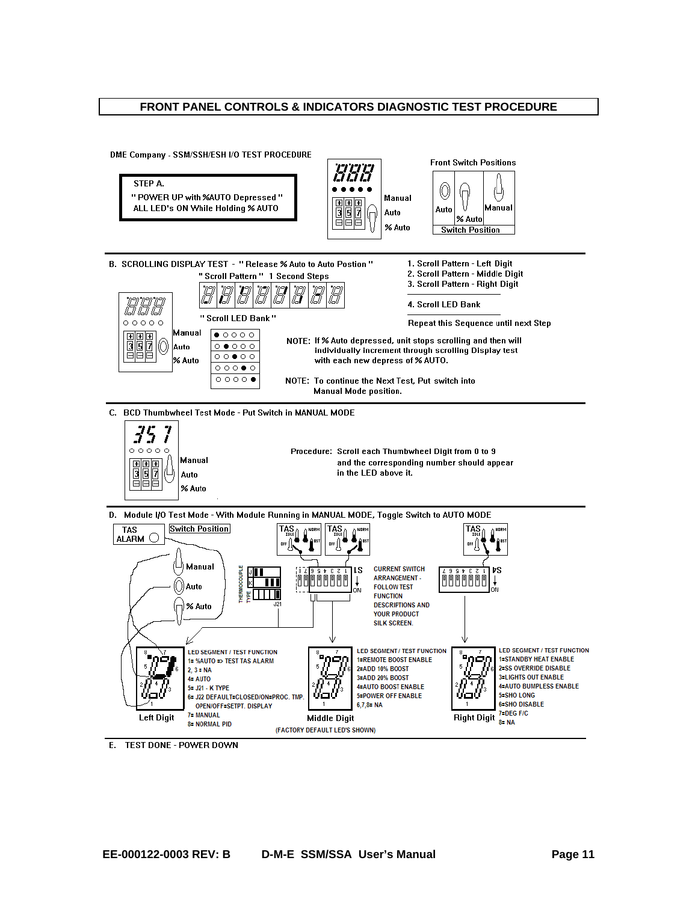# **FRONT PANEL CONTROLS & INDICATORS DIAGNOSTIC TEST PROCEDURE**



E. TEST DONE - POWER DOWN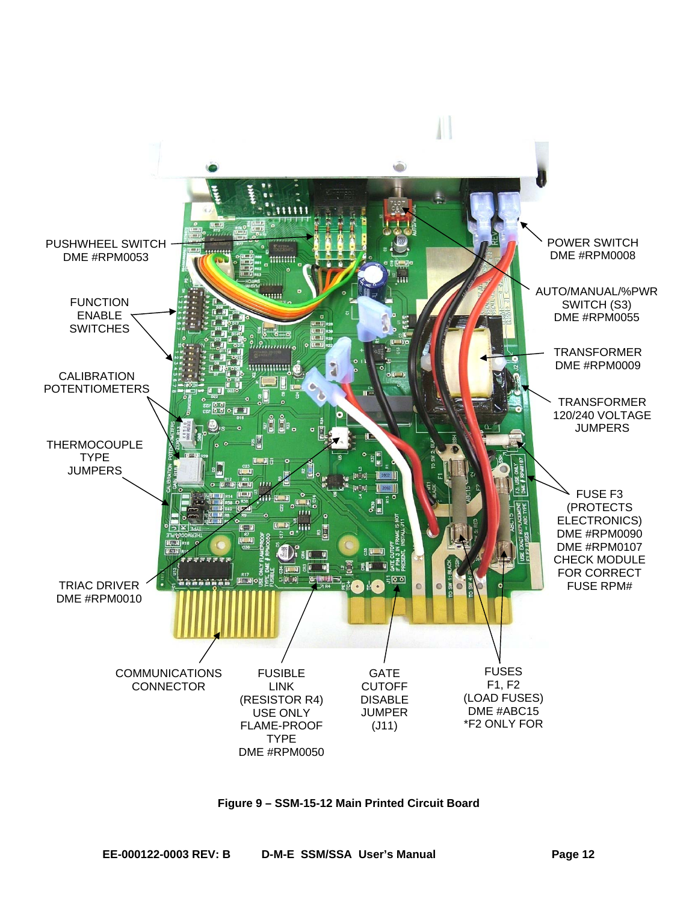

**Figure 9 – SSM-15-12 Main Printed Circuit Board**